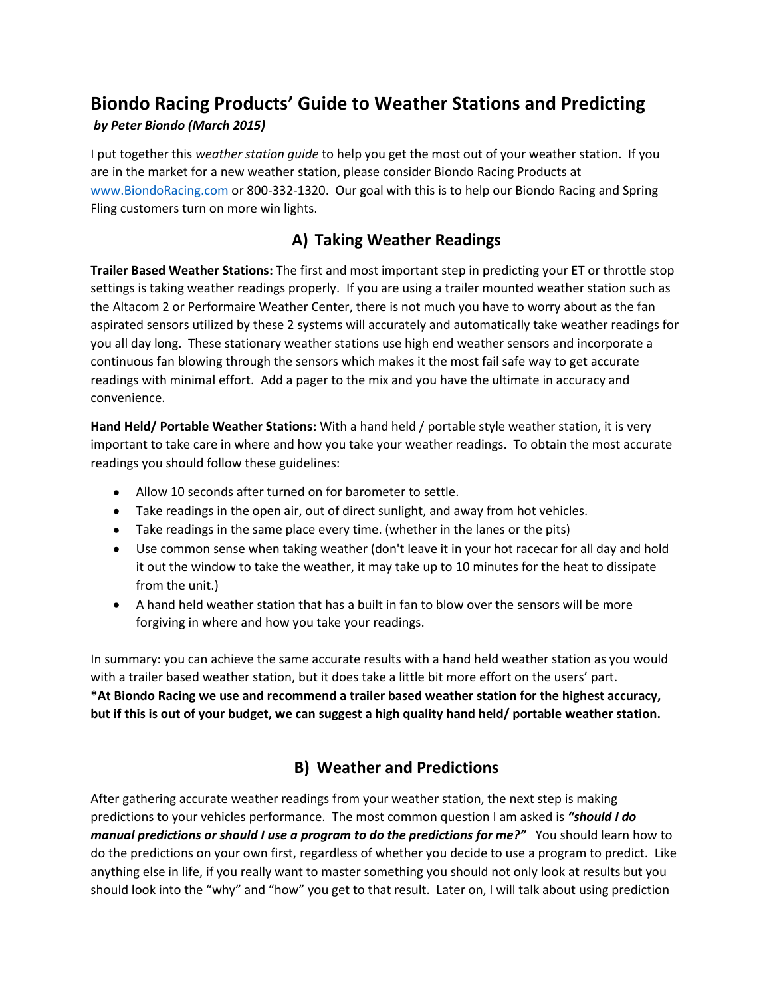# **Biondo Racing Products' Guide to Weather Stations and Predicting**

#### *by Peter Biondo (March 2015)*

I put together this *weather station guide* to help you get the most out of your weather station. If you are in the market for a new weather station, please consider Biondo Racing Products at [www.BiondoRacing.com](http://www.biondoracing.com/) or 800-332-1320. Our goal with this is to help our Biondo Racing and Spring Fling customers turn on more win lights.

### **A) Taking Weather Readings**

**Trailer Based Weather Stations:** The first and most important step in predicting your ET or throttle stop settings is taking weather readings properly. If you are using a trailer mounted weather station such as the Altacom 2 or Performaire Weather Center, there is not much you have to worry about as the fan aspirated sensors utilized by these 2 systems will accurately and automatically take weather readings for you all day long. These stationary weather stations use high end weather sensors and incorporate a continuous fan blowing through the sensors which makes it the most fail safe way to get accurate readings with minimal effort. Add a pager to the mix and you have the ultimate in accuracy and convenience.

**Hand Held/ Portable Weather Stations:** With a hand held / portable style weather station, it is very important to take care in where and how you take your weather readings. To obtain the most accurate readings you should follow these guidelines:

- Allow 10 seconds after turned on for barometer to settle.
- Take readings in the open air, out of direct sunlight, and away from hot vehicles.
- Take readings in the same place every time. (whether in the lanes or the pits)
- Use common sense when taking weather (don't leave it in your hot racecar for all day and hold it out the window to take the weather, it may take up to 10 minutes for the heat to dissipate from the unit.)
- A hand held weather station that has a built in fan to blow over the sensors will be more forgiving in where and how you take your readings.

In summary: you can achieve the same accurate results with a hand held weather station as you would with a trailer based weather station, but it does take a little bit more effort on the users' part. **\*At Biondo Racing we use and recommend a trailer based weather station for the highest accuracy, but if this is out of your budget, we can suggest a high quality hand held/ portable weather station.**

# **B) Weather and Predictions**

After gathering accurate weather readings from your weather station, the next step is making predictions to your vehicles performance. The most common question I am asked is *"should I do manual predictions or should I use a program to do the predictions for me?"* You should learn how to do the predictions on your own first, regardless of whether you decide to use a program to predict. Like anything else in life, if you really want to master something you should not only look at results but you should look into the "why" and "how" you get to that result. Later on, I will talk about using prediction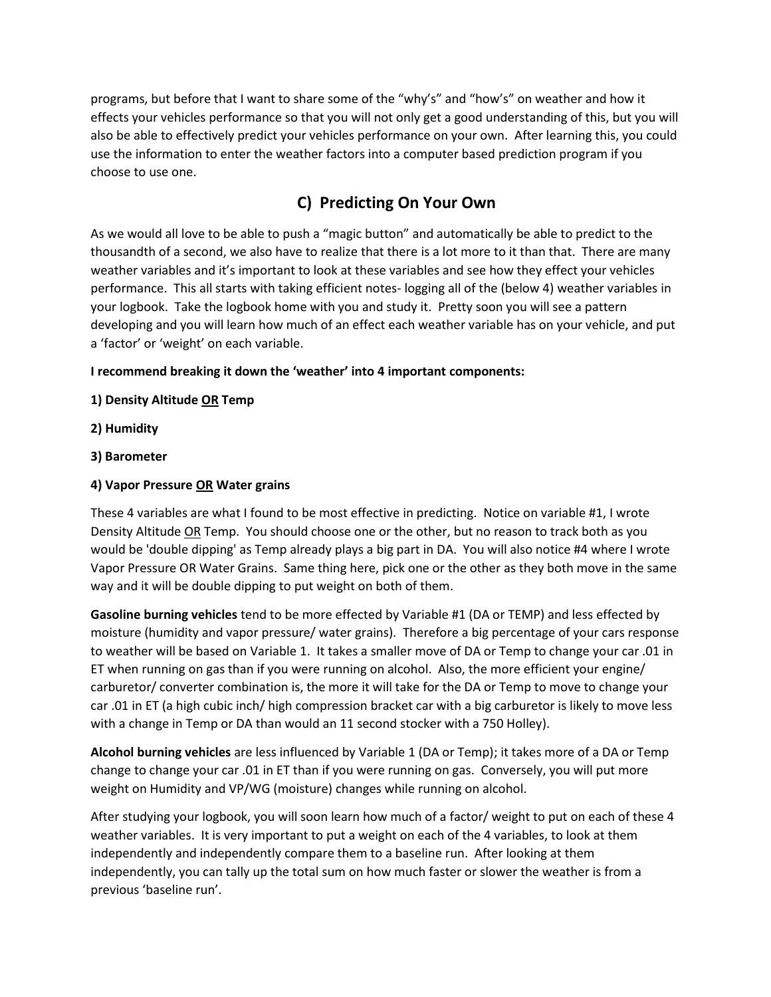programs, but before that I want to share some of the "why's" and "how's" on weather and how it effects your vehicles performance so that you will not only get a good understanding of this, but you will also be able to effectively predict your vehicles performance on your own. After learning this, you could use the information to enter the weather factors into a computer based prediction program if you choose to use one.

## **C) Predicting On Your Own**

As we would all love to be able to push a "magic button" and automatically be able to predict to the thousandth of a second, we also have to realize that there is a lot more to it than that. There are many weather variables and it's important to look at these variables and see how they effect your vehicles performance. This all starts with taking efficient notes- logging all of the (below 4) weather variables in your logbook. Take the logbook home with you and study it. Pretty soon you will see a pattern developing and you will learn how much of an effect each weather variable has on your vehicle, and put a 'factor' or 'weight' on each variable.

#### **I recommend breaking it down the 'weather' into 4 important components:**

- **1) Density Altitude OR Temp**
- **2) Humidity**
- **3) Barometer**

#### **4) Vapor Pressure OR Water grains**

These 4 variables are what I found to be most effective in predicting. Notice on variable #1, I wrote Density Altitude OR Temp. You should choose one or the other, but no reason to track both as you would be 'double dipping' as Temp already plays a big part in DA. You will also notice #4 where I wrote Vapor Pressure OR Water Grains. Same thing here, pick one or the other as they both move in the same way and it will be double dipping to put weight on both of them.

**Gasoline burning vehicles** tend to be more effected by Variable #1 (DA or TEMP) and less effected by moisture (humidity and vapor pressure/ water grains). Therefore a big percentage of your cars response to weather will be based on Variable 1. It takes a smaller move of DA or Temp to change your car .01 in ET when running on gas than if you were running on alcohol. Also, the more efficient your engine/ carburetor/ converter combination is, the more it will take for the DA or Temp to move to change your car .01 in ET (a high cubic inch/ high compression bracket car with a big carburetor is likely to move less with a change in Temp or DA than would an 11 second stocker with a 750 Holley).

**Alcohol burning vehicles** are less influenced by Variable 1 (DA or Temp); it takes more of a DA or Temp change to change your car .01 in ET than if you were running on gas. Conversely, you will put more weight on Humidity and VP/WG (moisture) changes while running on alcohol.

After studying your logbook, you will soon learn how much of a factor/ weight to put on each of these 4 weather variables. It is very important to put a weight on each of the 4 variables, to look at them independently and independently compare them to a baseline run. After looking at them independently, you can tally up the total sum on how much faster or slower the weather is from a previous 'baseline run'.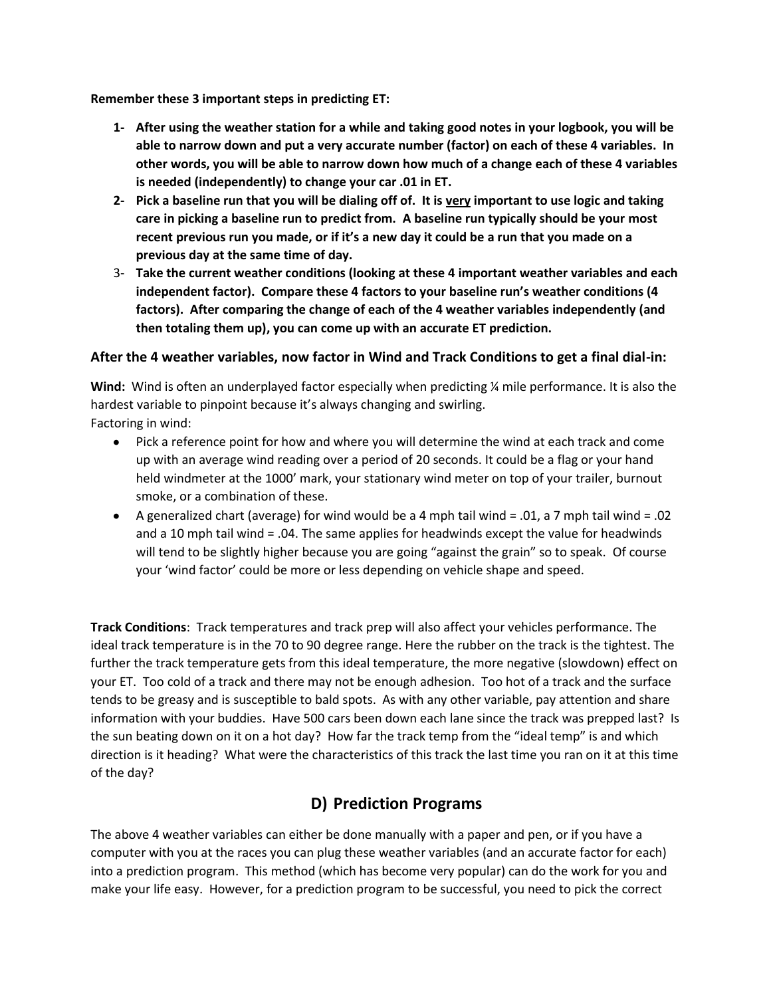**Remember these 3 important steps in predicting ET:**

- **1- After using the weather station for a while and taking good notes in your logbook, you will be able to narrow down and put a very accurate number (factor) on each of these 4 variables. In other words, you will be able to narrow down how much of a change each of these 4 variables is needed (independently) to change your car .01 in ET.**
- **2- Pick a baseline run that you will be dialing off of. It is very important to use logic and taking care in picking a baseline run to predict from. A baseline run typically should be your most recent previous run you made, or if it's a new day it could be a run that you made on a previous day at the same time of day.**
- 3- **Take the current weather conditions (looking at these 4 important weather variables and each independent factor). Compare these 4 factors to your baseline run's weather conditions (4 factors). After comparing the change of each of the 4 weather variables independently (and then totaling them up), you can come up with an accurate ET prediction.**

#### **After the 4 weather variables, now factor in Wind and Track Conditions to get a final dial-in:**

**Wind:** Wind is often an underplayed factor especially when predicting ¼ mile performance. It is also the hardest variable to pinpoint because it's always changing and swirling. Factoring in wind:

- Pick a reference point for how and where you will determine the wind at each track and come up with an average wind reading over a period of 20 seconds. It could be a flag or your hand held windmeter at the 1000' mark, your stationary wind meter on top of your trailer, burnout smoke, or a combination of these.
- A generalized chart (average) for wind would be a 4 mph tail wind = .01, a 7 mph tail wind = .02 and a 10 mph tail wind = .04. The same applies for headwinds except the value for headwinds will tend to be slightly higher because you are going "against the grain" so to speak. Of course your 'wind factor' could be more or less depending on vehicle shape and speed.

**Track Conditions**: Track temperatures and track prep will also affect your vehicles performance. The ideal track temperature is in the 70 to 90 degree range. Here the rubber on the track is the tightest. The further the track temperature gets from this ideal temperature, the more negative (slowdown) effect on your ET. Too cold of a track and there may not be enough adhesion. Too hot of a track and the surface tends to be greasy and is susceptible to bald spots. As with any other variable, pay attention and share information with your buddies. Have 500 cars been down each lane since the track was prepped last? Is the sun beating down on it on a hot day? How far the track temp from the "ideal temp" is and which direction is it heading? What were the characteristics of this track the last time you ran on it at this time of the day?

### **D) Prediction Programs**

The above 4 weather variables can either be done manually with a paper and pen, or if you have a computer with you at the races you can plug these weather variables (and an accurate factor for each) into a prediction program. This method (which has become very popular) can do the work for you and make your life easy. However, for a prediction program to be successful, you need to pick the correct